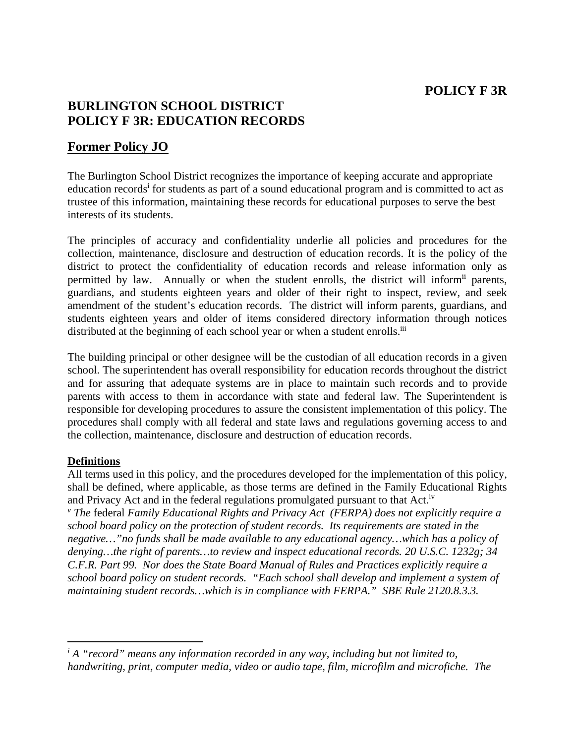## **POLICY F 3R**

## **BURLINGTON SCHOOL DISTRICT POLICY F 3R: EDUCATION RECORDS**

## **Former Policy JO**

The Burlington School District recognizes the importance of keeping accurate and appropriate education records<sup>i</sup> for students as part of a sound educational program and is committed to act as trustee of this information, maintaining these records for educational purposes to serve the best interests of its students.

The principles of accuracy and confidentiality underlie all policies and procedures for the collection, maintenance, disclosure and destruction of education records. It is the policy of the district to protect the confidentiality of education records and release information only as permitted by law. Annually or when the student enrolls, the district will inform<sup>ii</sup> parents, guardians, and students eighteen years and older of their right to inspect, review, and seek amendment of the student's education records. The district will inform parents, guardians, and students eighteen years and older of items considered directory information through notices distributed at the beginning of each school year or when a student enrolls.<sup>iii</sup>

The building principal or other designee will be the custodian of all education records in a given school. The superintendent has overall responsibility for education records throughout the district and for assuring that adequate systems are in place to maintain such records and to provide parents with access to them in accordance with state and federal law. The Superintendent is responsible for developing procedures to assure the consistent implementation of this policy. The procedures shall comply with all federal and state laws and regulations governing access to and the collection, maintenance, disclosure and destruction of education records.

## **Definitions**

All terms used in this policy, and the procedures developed for the implementation of this policy, shall be defined, where applicable, as those terms are defined in the Family Educational Rights and Privacy Act and in the federal regulations promulgated pursuant to that Act.<sup>iv</sup> <sup>*v*</sup> The federal Family Educational Rights and Privacy Act (FERPA) does not explicitly require a *school board policy on the protection of student records. Its requirements are stated in the negative…"no funds shall be made available to any educational agency…which has a policy of denying…the right of parents…to review and inspect educational records. 20 U.S.C. 1232g; 34 C.F.R. Part 99. Nor does the State Board Manual of Rules and Practices explicitly require a school board policy on student records. "Each school shall develop and implement a system of maintaining student records…which is in compliance with FERPA." SBE Rule 2120.8.3.3.* 

<sup>&</sup>lt;sup>*i*</sup> A "record" means any information recorded in any way, including but not limited to, *handwriting, print, computer media, video or audio tape, film, microfilm and microfiche. The*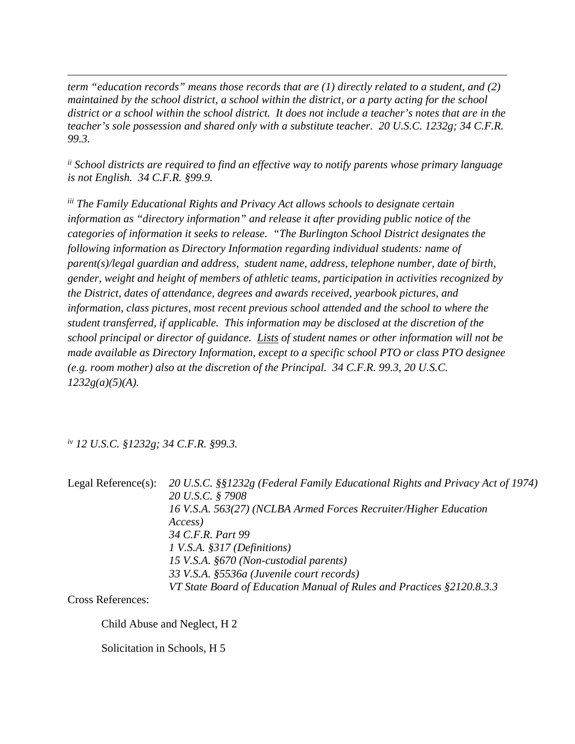*term "education records" means those records that are (1) directly related to a student, and (2) maintained by the school district, a school within the district, or a party acting for the school district or a school within the school district. It does not include a teacher's notes that are in the teacher's sole possession and shared only with a substitute teacher. 20 U.S.C. 1232g; 34 C.F.R. 99.3.* 

<u> 1989 - Johann Stoff, amerikansk politiker (d. 1989)</u>

*ii School districts are required to find an effective way to notify parents whose primary language is not English. 34 C.F.R. §99.9.* 

*iii The Family Educational Rights and Privacy Act allows schools to designate certain information as "directory information" and release it after providing public notice of the categories of information it seeks to release. "The Burlington School District designates the following information as Directory Information regarding individual students: name of parent(s)/legal guardian and address, student name, address, telephone number, date of birth, gender, weight and height of members of athletic teams, participation in activities recognized by the District, dates of attendance, degrees and awards received, yearbook pictures, and information, class pictures, most recent previous school attended and the school to where the student transferred, if applicable. This information may be disclosed at the discretion of the school principal or director of guidance. Lists of student names or other information will not be made available as Directory Information, except to a specific school PTO or class PTO designee (e.g. room mother) also at the discretion of the Principal. 34 C.F.R. 99.3, 20 U.S.C. 1232g(a)(5)(A).* 

*iv 12 U.S.C. §1232g; 34 C.F.R. §99.3.* 

Legal Reference(s): *20 U.S.C. §§1232g (Federal Family Educational Rights and Privacy Act of 1974) 20 U.S.C. § 7908 16 V.S.A. 563(27) (NCLBA Armed Forces Recruiter/Higher Education Access) 34 C.F.R. Part 99 1 V.S.A. §317 (Definitions) 15 V.S.A. §670 (Non-custodial parents) 33 V.S.A. §5536a (Juvenile court records) VT State Board of Education Manual of Rules and Practices §2120.8.3.3* 

Cross References:

Child Abuse and Neglect, H 2

Solicitation in Schools, H 5